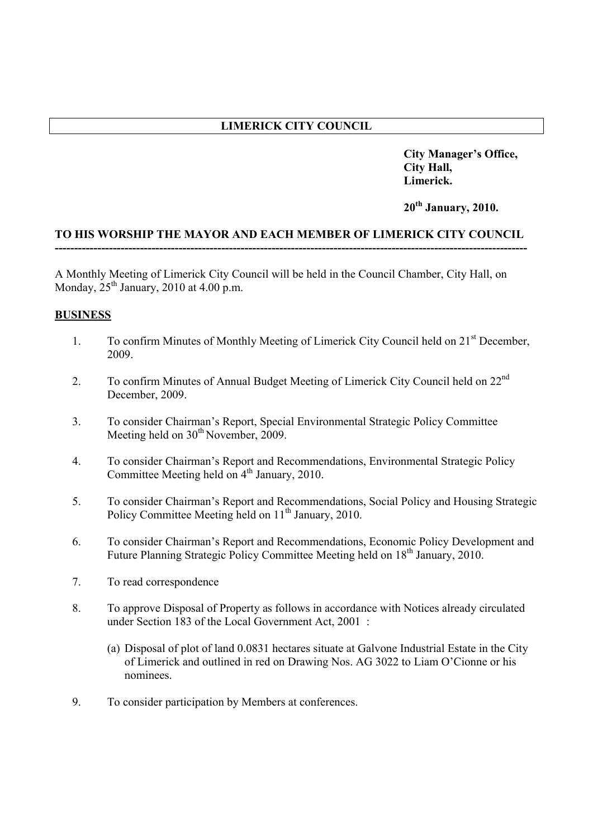# **LIMERICK CITY COUNCIL**

**City Manager's Office, City Hall, Limerick.**

**20th January, 2010.**

### **TO HIS WORSHIP THE MAYOR AND EACH MEMBER OF LIMERICK CITY COUNCIL --------------------------------------------------------------------------------------------------------------------------**

A Monthly Meeting of Limerick City Council will be held in the Council Chamber, City Hall, on Monday,  $25<sup>th</sup>$  January, 2010 at 4.00 p.m.

## **BUSINESS**

- 1. To confirm Minutes of Monthly Meeting of Limerick City Council held on 21<sup>st</sup> December, 2009.
- 2. To confirm Minutes of Annual Budget Meeting of Limerick City Council held on 22nd December, 2009.
- 3. To consider Chairman's Report, Special Environmental Strategic Policy Committee Meeting held on  $30<sup>th</sup>$  November, 2009.
- 4. To consider Chairman's Report and Recommendations, Environmental Strategic Policy Committee Meeting held on  $4<sup>th</sup>$  January, 2010.
- 5. To consider Chairman's Report and Recommendations, Social Policy and Housing Strategic Policy Committee Meeting held on  $11<sup>th</sup>$  January, 2010.
- 6. To consider Chairman's Report and Recommendations, Economic Policy Development and Future Planning Strategic Policy Committee Meeting held on 18<sup>th</sup> January, 2010.
- 7. To read correspondence
- 8. To approve Disposal of Property as follows in accordance with Notices already circulated under Section 183 of the Local Government Act, 2001 :
	- (a) Disposal of plot of land 0.0831 hectares situate at Galvone Industrial Estate in the City of Limerick and outlined in red on Drawing Nos. AG 3022 to Liam O'Cionne or his nominees.
- 9. To consider participation by Members at conferences.